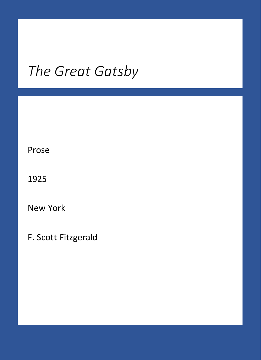### *The Great Gatsby*

Prose

1925

New York

F. Scott Fitzgerald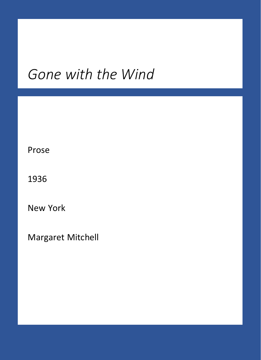#### *Gone with the Wind*

Prose

1936

New York

Margaret Mitchell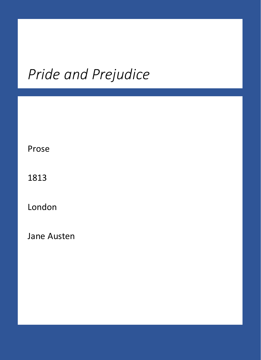#### *Pride and Prejudice*

Prose

1813

London

Jane Austen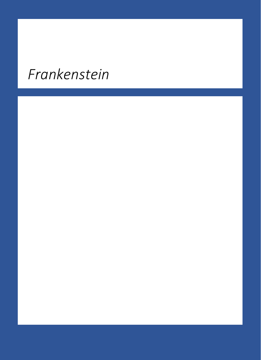# *Frankenstein*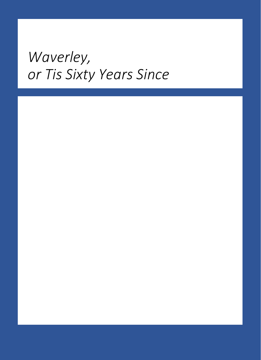### *Waverley, or Tis Sixty Years Since*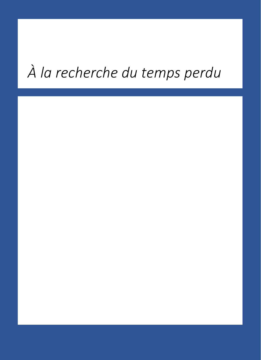# *À la recherche du temps perdu*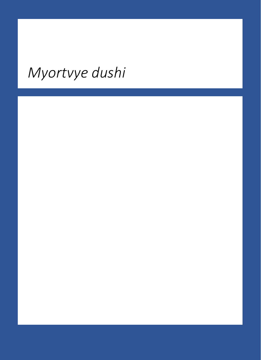# *Myortvye dushi*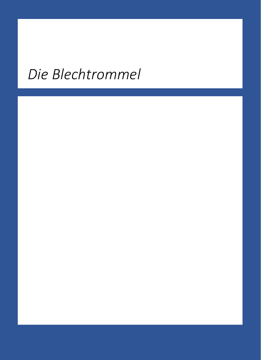# *Die Blechtrommel*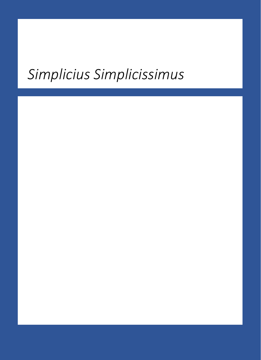### *Simplicius Simplicissimus*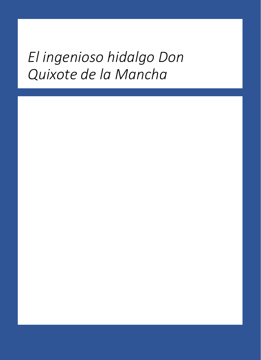#### *El ingenioso hidalgo Don Quixote de la Mancha*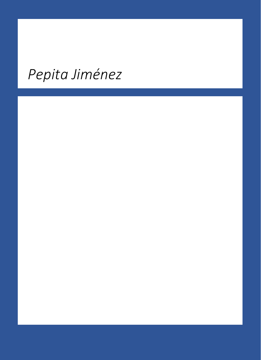# *Pepita Jiménez*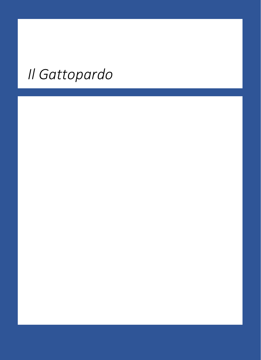# *Il Gattopardo*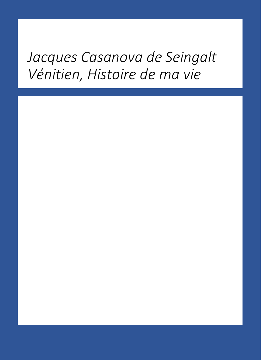#### *Jacques Casanova de Seingalt Vénitien, Histoire de ma vie*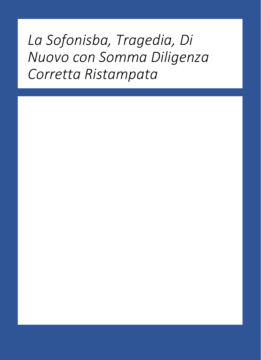*La Sofonisba, Tragedia, Di Nuovo con Somma Diligenza Corretta Ristampata*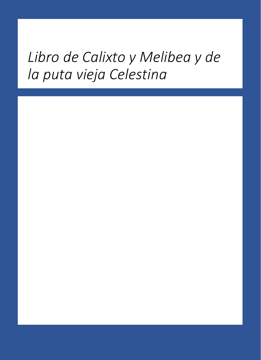### *Libro de Calixto y Melibea y de la puta vieja Celestina*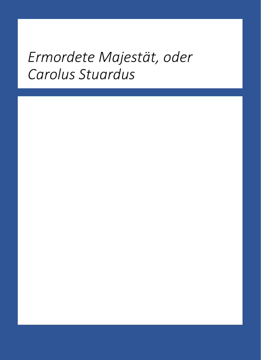#### *Ermordete Majestät, oder Carolus Stuardus*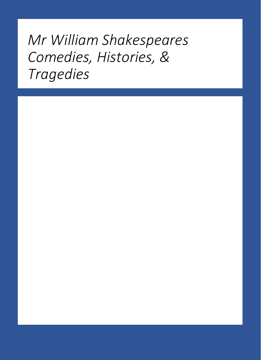### *Mr William Shakespeares Comedies, Histories, & Tragedies*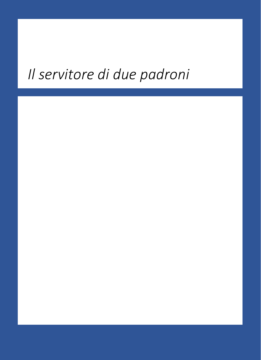# *Il servitore di due padroni*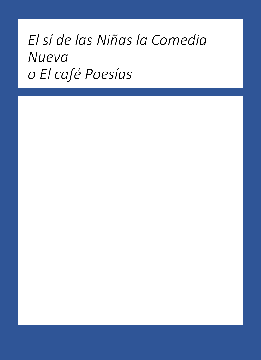### *El sí de las Niñas la Comedia Nueva o El café Poesías*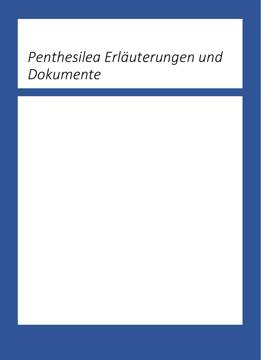### *Penthesilea Erläuterungen und Dokumente*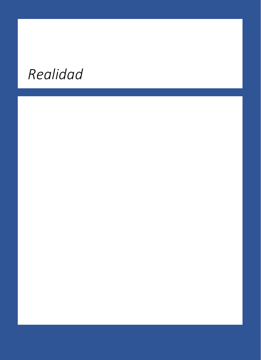# *Realidad*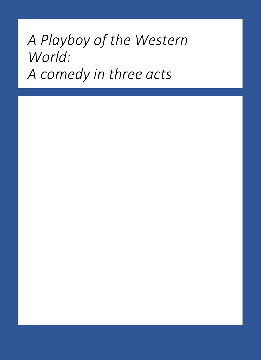### *A Playboy of the Western World: A comedy in three acts*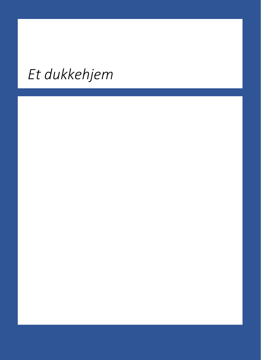# *Et dukkehjem*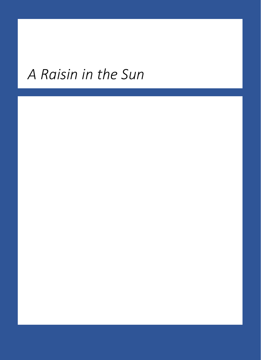### *A Raisin in the Sun*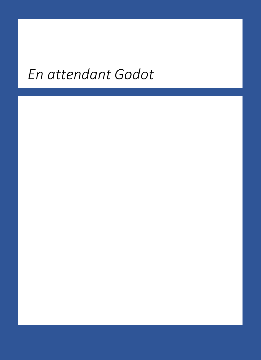# *En attendant Godot*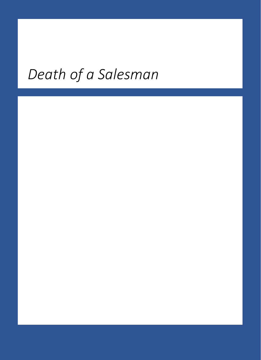# *Death of a Salesman*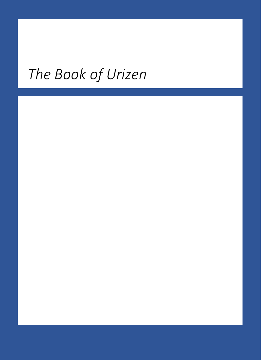# *The Book of Urizen*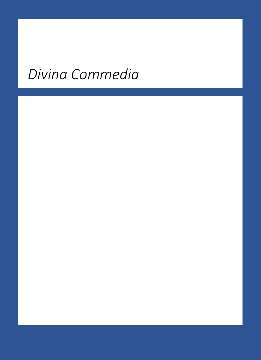# *Divina Commedia*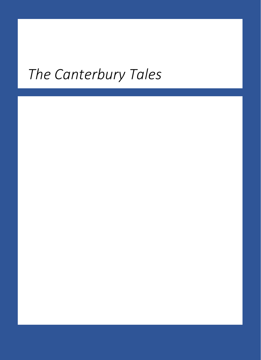# *The Canterbury Tales*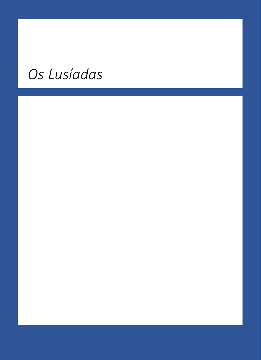# *Os Lusíadas*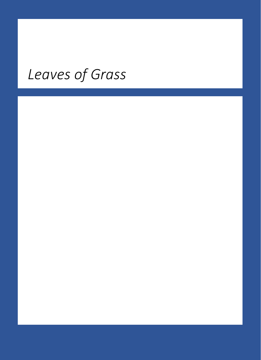# *Leaves of Grass*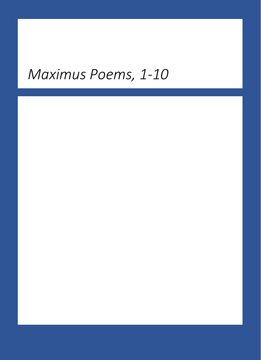#### *Maximus Poems, 1-10*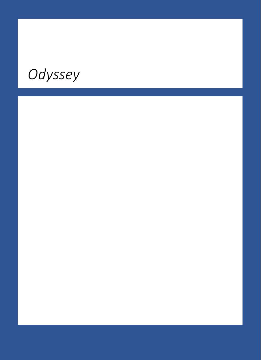# *Odyssey*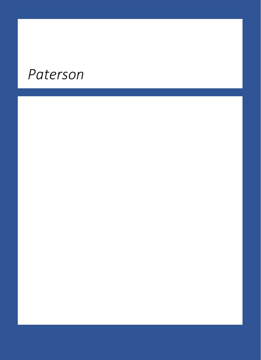#### *Paterson*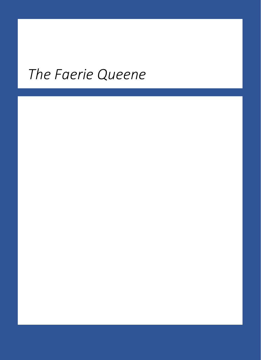# *The Faerie Queene*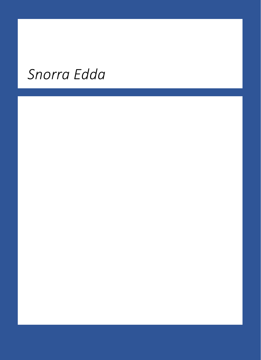# *Snorra Edda*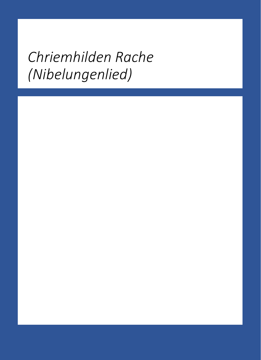### *Chriemhilden Rache (Nibelungenlied)*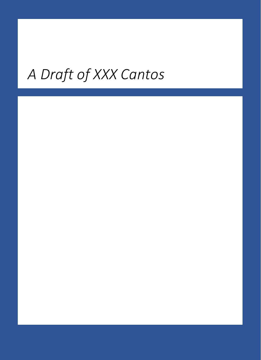# *A Draft of XXX Cantos*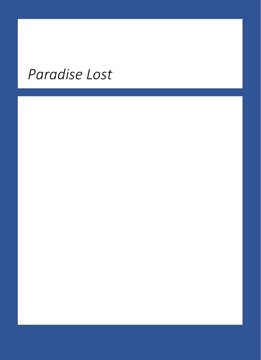### *Paradise Lost*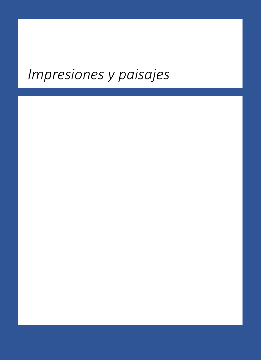### *Impresiones y paisajes*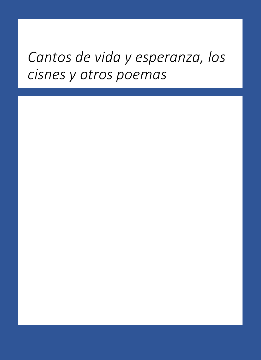#### *Cantos de vida y esperanza, los cisnes y otros poemas*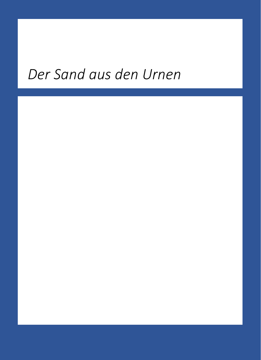# *Der Sand aus den Urnen*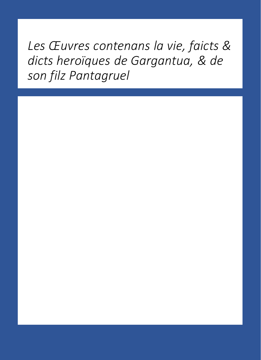*Les Œuvres contenans la vie, faicts & dicts heroïques de Gargantua, & de son filz Pantagruel*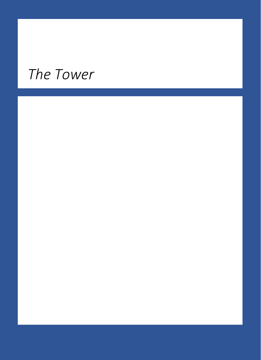### *The Tower*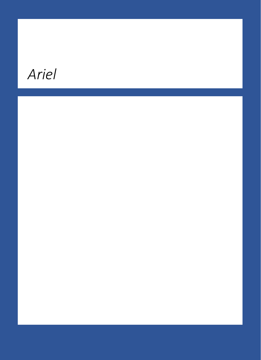# *Ariel*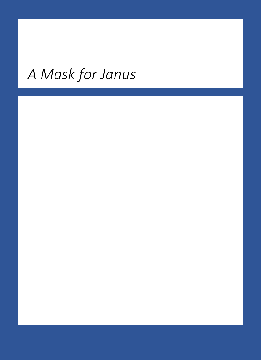# *A Mask for Janus*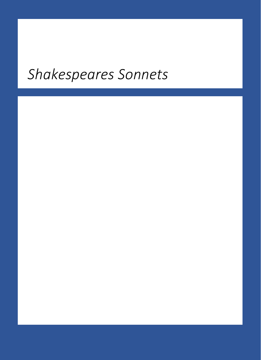#### *Shakespeares Sonnets*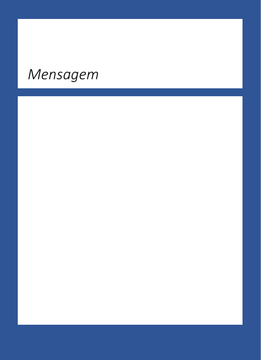# *Mensagem*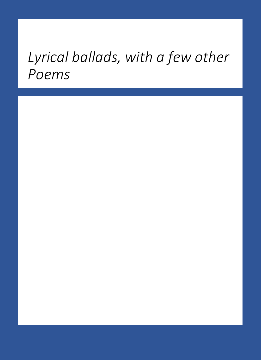#### *Lyrical ballads, with a few other Poems*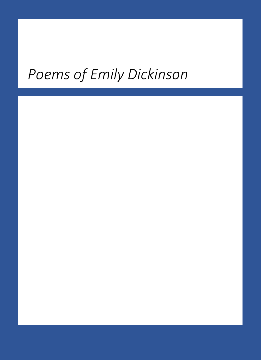# *Poems of Emily Dickinson*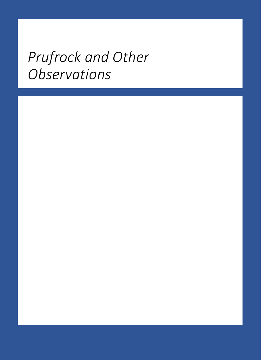### *Prufrock and Other Observations*